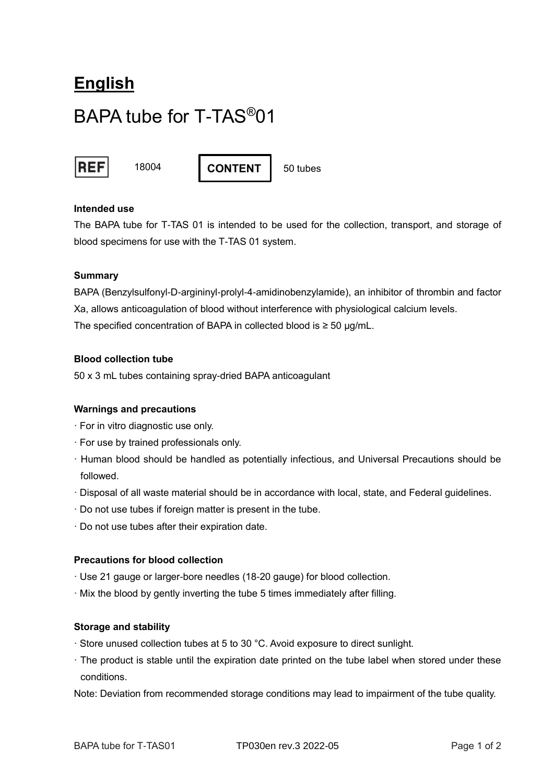# **English** BAPA tube for T-TAS®01



18004 | **CONTENT** | 50 tubes

## **Intended use**

The BAPA tube for T-TAS 01 is intended to be used for the collection, transport, and storage of blood specimens for use with the T-TAS 01 system.

## **Summary**

BAPA (Benzylsulfonyl-D-argininyl-prolyl-4-amidinobenzylamide), an inhibitor of thrombin and factor Xa, allows anticoagulation of blood without interference with physiological calcium levels. The specified concentration of BAPA in collected blood is  $\geq$  50 µg/mL.

## **Blood collection tube**

50 x 3 mL tubes containing spray-dried BAPA anticoagulant

#### **Warnings and precautions**

- · For in vitro diagnostic use only.
- · For use by trained professionals only.
- · Human blood should be handled as potentially infectious, and Universal Precautions should be followed.
- · Disposal of all waste material should be in accordance with local, state, and Federal guidelines.
- · Do not use tubes if foreign matter is present in the tube.
- · Do not use tubes after their expiration date.

## **Precautions for blood collection**

- · Use 21 gauge or larger-bore needles (18-20 gauge) for blood collection.
- · Mix the blood by gently inverting the tube 5 times immediately after filling.

#### **Storage and stability**

- · Store unused collection tubes at 5 to 30 °C. Avoid exposure to direct sunlight.
- · The product is stable until the expiration date printed on the tube label when stored under these conditions.

Note: Deviation from recommended storage conditions may lead to impairment of the tube quality.